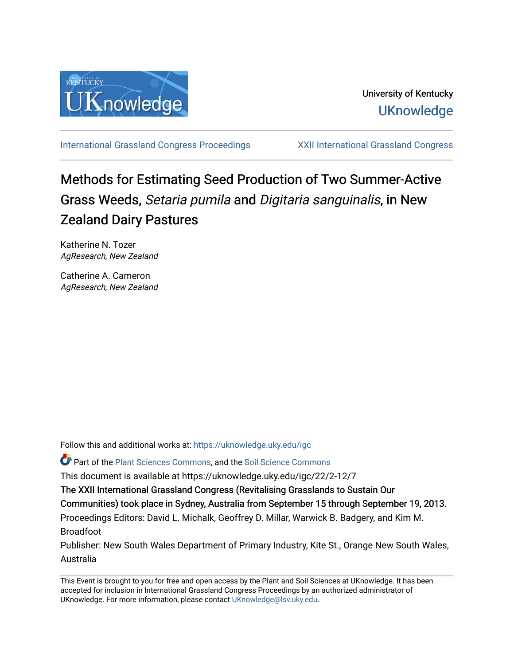

[International Grassland Congress Proceedings](https://uknowledge.uky.edu/igc) [XXII International Grassland Congress](https://uknowledge.uky.edu/igc/22) 

# Methods for Estimating Seed Production of Two Summer-Active Grass Weeds, Setaria pumila and Digitaria sanguinalis, in New Zealand Dairy Pastures

Katherine N. Tozer AgResearch, New Zealand

Catherine A. Cameron AgResearch, New Zealand

Follow this and additional works at: [https://uknowledge.uky.edu/igc](https://uknowledge.uky.edu/igc?utm_source=uknowledge.uky.edu%2Figc%2F22%2F2-12%2F7&utm_medium=PDF&utm_campaign=PDFCoverPages) 

**P** Part of the [Plant Sciences Commons](http://network.bepress.com/hgg/discipline/102?utm_source=uknowledge.uky.edu%2Figc%2F22%2F2-12%2F7&utm_medium=PDF&utm_campaign=PDFCoverPages), and the Soil Science Commons

This document is available at https://uknowledge.uky.edu/igc/22/2-12/7

The XXII International Grassland Congress (Revitalising Grasslands to Sustain Our

Communities) took place in Sydney, Australia from September 15 through September 19, 2013.

Proceedings Editors: David L. Michalk, Geoffrey D. Millar, Warwick B. Badgery, and Kim M. Broadfoot

Publisher: New South Wales Department of Primary Industry, Kite St., Orange New South Wales, Australia

This Event is brought to you for free and open access by the Plant and Soil Sciences at UKnowledge. It has been accepted for inclusion in International Grassland Congress Proceedings by an authorized administrator of UKnowledge. For more information, please contact [UKnowledge@lsv.uky.edu](mailto:UKnowledge@lsv.uky.edu).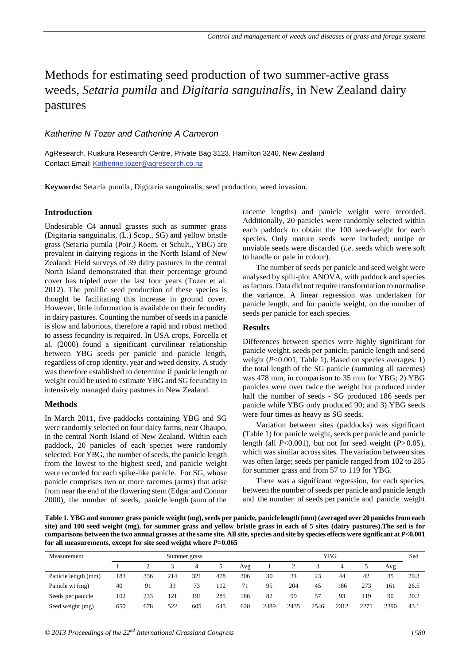# Methods for estimating seed production of two summer-active grass weeds, *Setaria pumila* and *Digitaria sanguinalis*, in New Zealand dairy pastures

## *Katherine N Tozer and Catherine A Cameron*

AgResearch, Ruakura Research Centre, Private Bag 3123, Hamilton 3240, New Zealand Contact Email: Katherine.tozer@agresearch.co.nz

**Keywords:** Setaria pumila, Digitaria sanguinalis, seed production, weed invasion.

#### **Introduction**

Undesirable C4 annual grasses such as summer grass (Digitaria sanguinalis, (L.) Scop., SG) and yellow bristle grass (Setaria pumila (Poir.) Roem. et Schult., YBG) are prevalent in dairying regions in the North Island of New Zealand. Field surveys of 39 dairy pastures in the central North Island demonstrated that their percentage ground cover has tripled over the last four years (Tozer et al. 2012). The prolific seed production of these species is thought be facilitating this increase in ground cover. However, little information is available on their fecundity in dairy pastures. Counting the number of seeds in a panicle is slow and laborious, therefore a rapid and robust method to assess fecundity is required. In USA crops, Forcella et al. (2000) found a significant curvilinear relationship between YBG seeds per panicle and panicle length, regardless of crop identity, year and weed density. A study was therefore established to determine if panicle length or weight could be used to estimate YBG and SG fecundity in intensively managed dairy pastures in New Zealand.

#### **Methods**

In March 2011, five paddocks containing YBG and SG were randomly selected on four dairy farms, near Ohaupo, in the central North Island of New Zealand. Within each paddock, 20 panicles of each species were randomly selected. For YBG, the number of seeds, the panicle length from the lowest to the highest seed, and panicle weight were recorded for each spike-like panicle. For SG, whose panicle comprises two or more racemes (arms) that arise from near the end of the flowering stem (Edgar and Connor 2000), the number of seeds, panicle length (sum of the

raceme lengths) and panicle weight were recorded. Additionally, 20 panicles were randomly selected within each paddock to obtain the 100 seed-weight for each species. Only mature seeds were included; unripe or unviable seeds were discarded (*i.e*. seeds which were soft to handle or pale in colour).

The number of seeds per panicle and seed weight were analysed by split-plot ANOVA, with paddock and species as factors. Data did not require transformation to normalise the variance. A linear regression was undertaken for panicle length, and for panicle weight, on the number of seeds per panicle for each species.

#### **Results**

Differences between species were highly significant for panicle weight, seeds per panicle, panicle length and seed weight (*P*<0.001, Table 1). Based on species averages: 1) the total length of the SG panicle (summing all racemes) was 478 mm, in comparison to 35 mm for YBG; 2) YBG panicles were over twice the weight but produced under half the number of seeds - SG produced 186 seeds per panicle while YBG only produced 90; and 3) YBG seeds were four times as heavy as SG seeds.

Variation between sites (paddocks) was significant (Table 1) for panicle weight, seeds per panicle and panicle length (all  $P<0.001$ ), but not for seed weight  $(P>0.05)$ , which was similar across sites. The variation between sites was often large; seeds per panicle ranged from 102 to 285 for summer grass and from 57 to 119 for YBG.

There was a significant regression, for each species, between the number of seeds per panicle and panicle length and the number of seeds per panicle and panicle weight

**Table 1. YBG and summer grass panicle weight (mg), seeds per panicle, panicle length (mm) (averaged over 20 panicles from each site) and 100 seed weight (mg), for summer grass and yellow bristle grass in each of 5 sites (dairy pastures).The sed is for comparisons between the two annual grasses at the same site. All site, species and site by species effects were significant at** *P***<0.001 for all measurements, except for site seed weight where** *P***=0.065**

| Measurement         | Summer grass |     |     |     |     |     | <b>YBG</b> |      |      |      |      |      | Sed  |
|---------------------|--------------|-----|-----|-----|-----|-----|------------|------|------|------|------|------|------|
|                     |              |     |     | 4   |     | Avg |            |      |      |      |      | Avg  |      |
| Panicle length (mm) | 183          | 336 | 214 | 321 | 478 | 306 | 30         | 34   | 23   | 44   | 42   | 35   | 29.3 |
| Panicle wt (mg)     | 40           | 91  | 39  | 73  | 112 | 71  | 95         | 204  | 45   | 186  | 273  | 161  | 26.5 |
| Seeds per panicle   | 102          | 233 | 121 | 191 | 285 | 186 | 82         | 99   | 57   | 93   | 119  | 90   | 20.2 |
| Seed weight (mg)    | 650          | 678 | 522 | 605 | 645 | 620 | 2389       | 2435 | 2546 | 2312 | 2271 | 2390 | 43.1 |